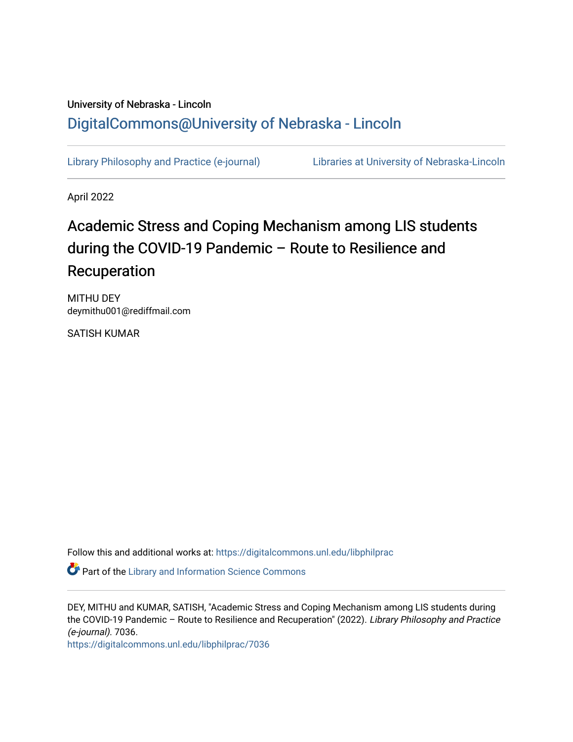## University of Nebraska - Lincoln [DigitalCommons@University of Nebraska - Lincoln](https://digitalcommons.unl.edu/)

[Library Philosophy and Practice \(e-journal\)](https://digitalcommons.unl.edu/libphilprac) [Libraries at University of Nebraska-Lincoln](https://digitalcommons.unl.edu/libraries) 

April 2022

# Academic Stress and Coping Mechanism among LIS students during the COVID-19 Pandemic – Route to Resilience and Recuperation

MITHU DEY deymithu001@rediffmail.com

SATISH KUMAR

Follow this and additional works at: [https://digitalcommons.unl.edu/libphilprac](https://digitalcommons.unl.edu/libphilprac?utm_source=digitalcommons.unl.edu%2Flibphilprac%2F7036&utm_medium=PDF&utm_campaign=PDFCoverPages) 

**Part of the Library and Information Science Commons** 

DEY, MITHU and KUMAR, SATISH, "Academic Stress and Coping Mechanism among LIS students during the COVID-19 Pandemic - Route to Resilience and Recuperation" (2022). Library Philosophy and Practice (e-journal). 7036.

[https://digitalcommons.unl.edu/libphilprac/7036](https://digitalcommons.unl.edu/libphilprac/7036?utm_source=digitalcommons.unl.edu%2Flibphilprac%2F7036&utm_medium=PDF&utm_campaign=PDFCoverPages)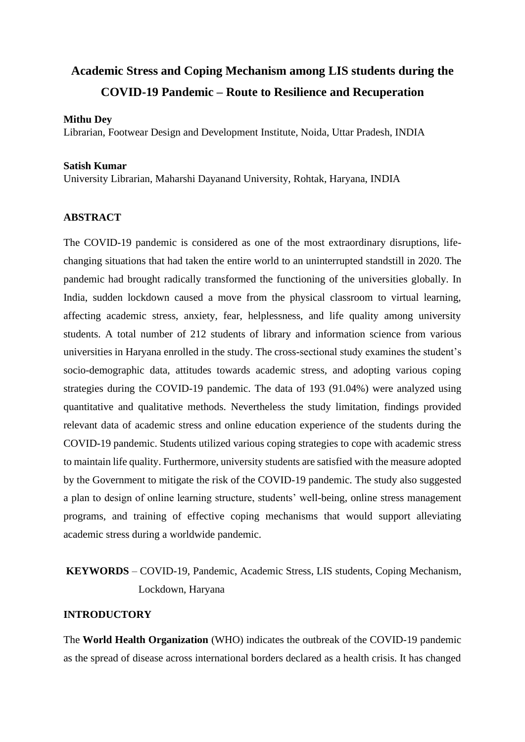## **Academic Stress and Coping Mechanism among LIS students during the COVID-19 Pandemic – Route to Resilience and Recuperation**

#### **Mithu Dey**

Librarian, Footwear Design and Development Institute, Noida, Uttar Pradesh, INDIA

#### **Satish Kumar**

University Librarian, Maharshi Dayanand University, Rohtak, Haryana, INDIA

### **ABSTRACT**

The COVID-19 pandemic is considered as one of the most extraordinary disruptions, lifechanging situations that had taken the entire world to an uninterrupted standstill in 2020. The pandemic had brought radically transformed the functioning of the universities globally. In India, sudden lockdown caused a move from the physical classroom to virtual learning, affecting academic stress, anxiety, fear, helplessness, and life quality among university students. A total number of 212 students of library and information science from various universities in Haryana enrolled in the study. The cross-sectional study examines the student's socio-demographic data, attitudes towards academic stress, and adopting various coping strategies during the COVID-19 pandemic. The data of 193 (91.04%) were analyzed using quantitative and qualitative methods. Nevertheless the study limitation, findings provided relevant data of academic stress and online education experience of the students during the COVID-19 pandemic. Students utilized various coping strategies to cope with academic stress to maintain life quality. Furthermore, university students are satisfied with the measure adopted by the Government to mitigate the risk of the COVID-19 pandemic. The study also suggested a plan to design of online learning structure, students' well-being, online stress management programs, and training of effective coping mechanisms that would support alleviating academic stress during a worldwide pandemic.

## **KEYWORDS** – COVID-19, Pandemic, Academic Stress, LIS students, Coping Mechanism, Lockdown, Haryana

#### **INTRODUCTORY**

The **World Health Organization** (WHO) indicates the outbreak of the COVID-19 pandemic as the spread of disease across international borders declared as a health crisis. It has changed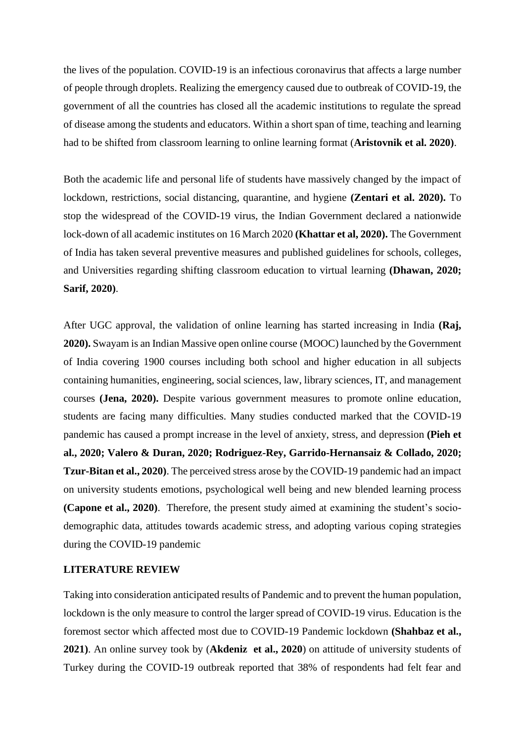the lives of the population. COVID-19 is an infectious coronavirus that affects a large number of people through droplets. Realizing the emergency caused due to outbreak of COVID-19, the government of all the countries has closed all the academic institutions to regulate the spread of disease among the students and educators. Within a short span of time, teaching and learning had to be shifted from classroom learning to online learning format (**Aristovnik et al. 2020)**.

Both the academic life and personal life of students have massively changed by the impact of lockdown, restrictions, social distancing, quarantine, and hygiene **(Zentari et al. 2020).** To stop the widespread of the COVID-19 virus, the Indian Government declared a nationwide lock-down of all academic institutes on 16 March 2020 **(Khattar et al, 2020).** The Government of India has taken several preventive measures and published guidelines for schools, colleges, and Universities regarding shifting classroom education to virtual learning **(Dhawan, 2020; Sarif, 2020)**.

After UGC approval, the validation of online learning has started increasing in India **(Raj, 2020).** Swayam is an Indian Massive open online course (MOOC) launched by the Government of India covering 1900 courses including both school and higher education in all subjects containing humanities, engineering, social sciences, law, library sciences, IT, and management courses **(Jena, 2020).** Despite various government measures to promote online education, students are facing many difficulties. Many studies conducted marked that the COVID-19 pandemic has caused a prompt increase in the level of anxiety, stress, and depression **(Pieh et al., 2020; Valero & Duran, 2020; Rodriguez-Rey, Garrido-Hernansaiz & Collado, 2020; Tzur-Bitan et al., 2020)**. The perceived stress arose by the COVID-19 pandemic had an impact on university students emotions, psychological well being and new blended learning process **(Capone et al., 2020)**. Therefore, the present study aimed at examining the student's sociodemographic data, attitudes towards academic stress, and adopting various coping strategies during the COVID-19 pandemic

#### **LITERATURE REVIEW**

Taking into consideration anticipated results of Pandemic and to prevent the human population, lockdown is the only measure to control the larger spread of COVID-19 virus. Education is the foremost sector which affected most due to COVID-19 Pandemic lockdown **(Shahbaz et al., 2021)**. An online survey took by (**Akdeniz et al., 2020**) on attitude of university students of Turkey during the COVID-19 outbreak reported that 38% of respondents had felt fear and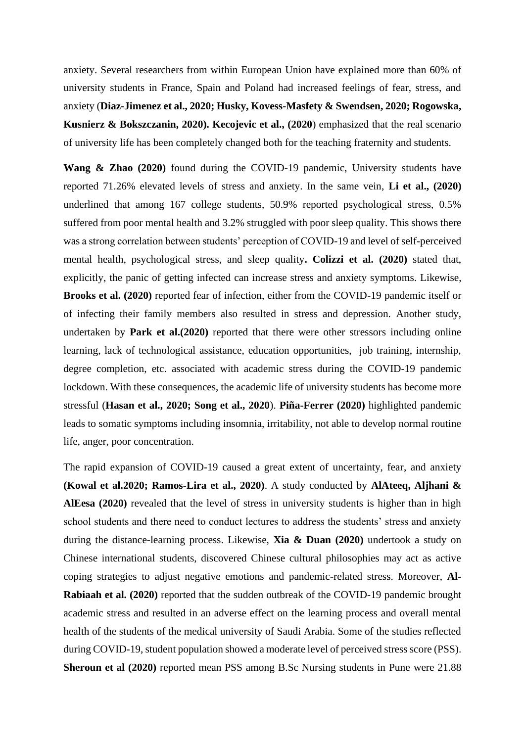anxiety. Several researchers from within European Union have explained more than 60% of university students in France, Spain and Poland had increased feelings of fear, stress, and anxiety (**Diaz-Jimenez et al., 2020; Husky, Kovess-Masfety & Swendsen, 2020; Rogowska, Kusnierz & Bokszczanin, 2020). Kecojevic et al., (2020**) emphasized that the real scenario of university life has been completely changed both for the teaching fraternity and students.

**Wang & Zhao (2020)** found during the COVID-19 pandemic, University students have reported 71.26% elevated levels of stress and anxiety. In the same vein, **Li et al., (2020)** underlined that among 167 college students, 50.9% reported psychological stress, 0.5% suffered from poor mental health and 3.2% struggled with poor sleep quality. This shows there was a strong correlation between students' perception of COVID-19 and level of self-perceived mental health, psychological stress, and sleep quality**. Colizzi et al. (2020)** stated that, explicitly, the panic of getting infected can increase stress and anxiety symptoms. Likewise, **Brooks et al. (2020)** reported fear of infection, either from the COVID-19 pandemic itself or of infecting their family members also resulted in stress and depression. Another study, undertaken by **Park et al.(2020)** reported that there were other stressors including online learning, lack of technological assistance, education opportunities, job training, internship, degree completion, etc. associated with academic stress during the COVID-19 pandemic lockdown. With these consequences, the academic life of university students has become more stressful (**Hasan et al., 2020; Song et al., 2020**). **Piña-Ferrer (2020)** highlighted pandemic leads to somatic symptoms including insomnia, irritability, not able to develop normal routine life, anger, poor concentration.

The rapid expansion of COVID-19 caused a great extent of uncertainty, fear, and anxiety **(Kowal et al.2020; Ramos-Lira et al., 2020)**. A study conducted by **AlAteeq, Aljhani & AlEesa (2020)** revealed that the level of stress in university students is higher than in high school students and there need to conduct lectures to address the students' stress and anxiety during the distance-learning process. Likewise, **Xia & Duan (2020)** undertook a study on Chinese international students, discovered Chinese cultural philosophies may act as active coping strategies to adjust negative emotions and pandemic-related stress. Moreover, **Al-Rabiaah et al. (2020)** reported that the sudden outbreak of the COVID-19 pandemic brought academic stress and resulted in an adverse effect on the learning process and overall mental health of the students of the medical university of Saudi Arabia. Some of the studies reflected during COVID-19, student population showed a moderate level of perceived stress score (PSS). **Sheroun et al (2020)** reported mean PSS among B.Sc Nursing students in Pune were 21.88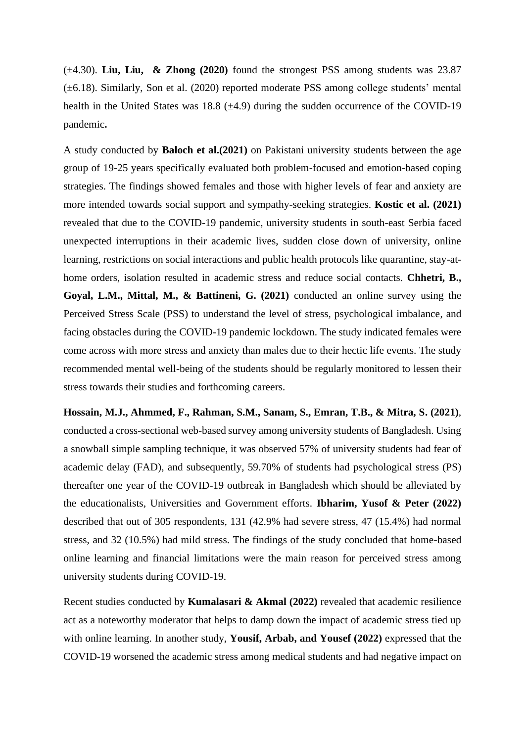(±4.30). **Liu, Liu, & Zhong (2020)** found the strongest PSS among students was 23.87 (±6.18). Similarly, Son et al. (2020) reported moderate PSS among college students' mental health in the United States was 18.8 ( $\pm$ 4.9) during the sudden occurrence of the COVID-19 pandemic**.**

A study conducted by **Baloch et al.(2021)** on Pakistani university students between the age group of 19-25 years specifically evaluated both problem-focused and emotion-based coping strategies. The findings showed females and those with higher levels of fear and anxiety are more intended towards social support and sympathy-seeking strategies. **Kostic et al. (2021)** revealed that due to the COVID-19 pandemic, university students in south-east Serbia faced unexpected interruptions in their academic lives, sudden close down of university, online learning, restrictions on social interactions and public health protocols like quarantine, stay-athome orders, isolation resulted in academic stress and reduce social contacts. **Chhetri, B., Goyal, L.M., Mittal, M., & Battineni, G. (2021)** conducted an online survey using the Perceived Stress Scale (PSS) to understand the level of stress, psychological imbalance, and facing obstacles during the COVID-19 pandemic lockdown. The study indicated females were come across with more stress and anxiety than males due to their hectic life events. The study recommended mental well-being of the students should be regularly monitored to lessen their stress towards their studies and forthcoming careers.

**Hossain, M.J., Ahmmed, F., Rahman, S.M., Sanam, S., Emran, T.B., & Mitra, S. (2021)**, conducted a cross-sectional web-based survey among university students of Bangladesh. Using a snowball simple sampling technique, it was observed 57% of university students had fear of academic delay (FAD), and subsequently, 59.70% of students had psychological stress (PS) thereafter one year of the COVID-19 outbreak in Bangladesh which should be alleviated by the educationalists, Universities and Government efforts. **Ibharim, Yusof & Peter (2022)** described that out of 305 respondents, 131 (42.9% had severe stress, 47 (15.4%) had normal stress, and 32 (10.5%) had mild stress. The findings of the study concluded that home-based online learning and financial limitations were the main reason for perceived stress among university students during COVID-19.

Recent studies conducted by **Kumalasari & Akmal (2022)** revealed that academic resilience act as a noteworthy moderator that helps to damp down the impact of academic stress tied up with online learning. In another study, **Yousif, Arbab, and Yousef (2022)** expressed that the COVID-19 worsened the academic stress among medical students and had negative impact on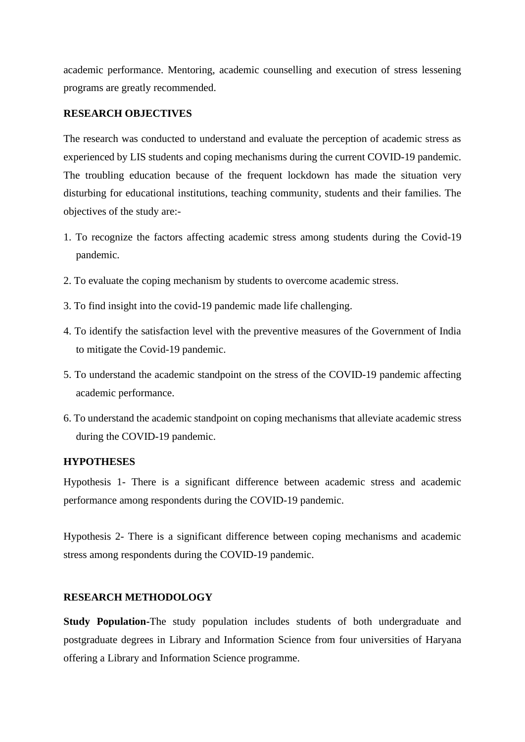academic performance. Mentoring, academic counselling and execution of stress lessening programs are greatly recommended.

#### **RESEARCH OBJECTIVES**

The research was conducted to understand and evaluate the perception of academic stress as experienced by LIS students and coping mechanisms during the current COVID-19 pandemic. The troubling education because of the frequent lockdown has made the situation very disturbing for educational institutions, teaching community, students and their families. The objectives of the study are:-

- 1. To recognize the factors affecting academic stress among students during the Covid-19 pandemic.
- 2. To evaluate the coping mechanism by students to overcome academic stress.
- 3. To find insight into the covid-19 pandemic made life challenging.
- 4. To identify the satisfaction level with the preventive measures of the Government of India to mitigate the Covid-19 pandemic.
- 5. To understand the academic standpoint on the stress of the COVID-19 pandemic affecting academic performance.
- 6. To understand the academic standpoint on coping mechanisms that alleviate academic stress during the COVID-19 pandemic.

#### **HYPOTHESES**

Hypothesis 1- There is a significant difference between academic stress and academic performance among respondents during the COVID-19 pandemic.

Hypothesis 2- There is a significant difference between coping mechanisms and academic stress among respondents during the COVID-19 pandemic.

## **RESEARCH METHODOLOGY**

**Study Population-**The study population includes students of both undergraduate and postgraduate degrees in Library and Information Science from four universities of Haryana offering a Library and Information Science programme.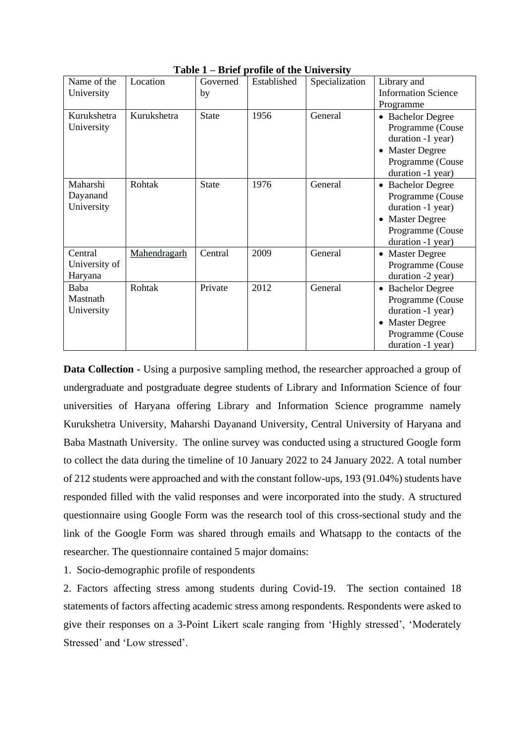| Name of the                         | Location     | Governed     | Established | Specialization | Library and                                                                                                                                                |
|-------------------------------------|--------------|--------------|-------------|----------------|------------------------------------------------------------------------------------------------------------------------------------------------------------|
| University                          |              | by           |             |                | <b>Information Science</b>                                                                                                                                 |
|                                     |              |              |             |                | Programme                                                                                                                                                  |
| Kurukshetra<br>University           | Kurukshetra  | <b>State</b> | 1956        | General        | <b>Bachelor Degree</b><br>$\bullet$<br>Programme (Couse<br>duration -1 year)                                                                               |
|                                     |              |              |             |                | <b>Master Degree</b><br>$\bullet$<br>Programme (Couse<br>duration -1 year)                                                                                 |
| Maharshi<br>Dayanand<br>University  | Rohtak       | <b>State</b> | 1976        | General        | <b>Bachelor Degree</b><br>$\bullet$<br>Programme (Couse<br>duration -1 year)<br><b>Master Degree</b><br>$\bullet$<br>Programme (Couse<br>duration -1 year) |
| Central<br>University of<br>Haryana | Mahendragarh | Central      | 2009        | General        | <b>Master Degree</b><br>$\bullet$<br>Programme (Couse<br>duration -2 year)                                                                                 |
| Baba<br>Mastnath<br>University      | Rohtak       | Private      | 2012        | General        | <b>Bachelor Degree</b><br>$\bullet$<br>Programme (Couse<br>duration -1 year)<br><b>Master Degree</b><br>$\bullet$<br>Programme (Couse<br>duration -1 year) |

**Table 1 – Brief profile of the University**

**Data Collection -** Using a purposive sampling method, the researcher approached a group of undergraduate and postgraduate degree students of Library and Information Science of four universities of Haryana offering Library and Information Science programme namely Kurukshetra University, Maharshi Dayanand University, Central University of Haryana and Baba Mastnath University. The online survey was conducted using a structured Google form to collect the data during the timeline of 10 January 2022 to 24 January 2022. A total number of 212 students were approached and with the constant follow-ups, 193 (91.04%) students have responded filled with the valid responses and were incorporated into the study. A structured questionnaire using Google Form was the research tool of this cross-sectional study and the link of the Google Form was shared through emails and Whatsapp to the contacts of the researcher. The questionnaire contained 5 major domains:

1. Socio-demographic profile of respondents

2. Factors affecting stress among students during Covid-19. The section contained 18 statements of factors affecting academic stress among respondents. Respondents were asked to give their responses on a 3-Point Likert scale ranging from 'Highly stressed', 'Moderately Stressed' and 'Low stressed'.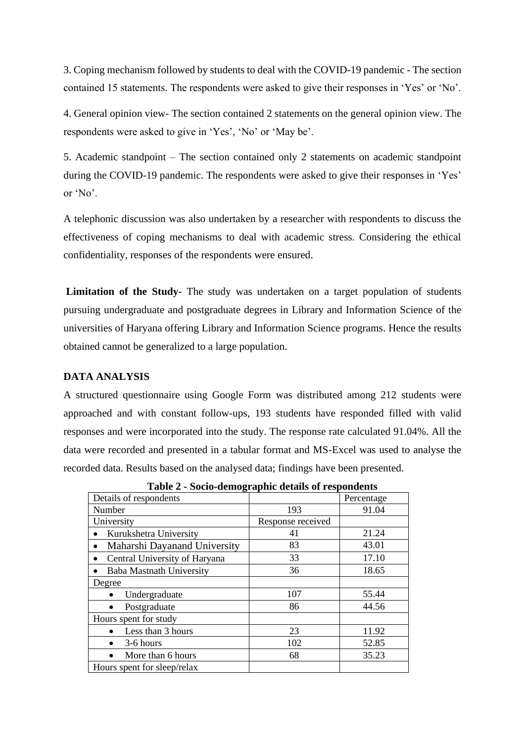3. Coping mechanism followed by students to deal with the COVID-19 pandemic - The section contained 15 statements. The respondents were asked to give their responses in 'Yes' or 'No'.

4. General opinion view- The section contained 2 statements on the general opinion view. The respondents were asked to give in 'Yes', 'No' or 'May be'.

5. Academic standpoint – The section contained only 2 statements on academic standpoint during the COVID-19 pandemic. The respondents were asked to give their responses in 'Yes' or 'No'.

A telephonic discussion was also undertaken by a researcher with respondents to discuss the effectiveness of coping mechanisms to deal with academic stress. Considering the ethical confidentiality, responses of the respondents were ensured.

**Limitation of the Study-** The study was undertaken on a target population of students pursuing undergraduate and postgraduate degrees in Library and Information Science of the universities of Haryana offering Library and Information Science programs. Hence the results obtained cannot be generalized to a large population.

#### **DATA ANALYSIS**

A structured questionnaire using Google Form was distributed among 212 students were approached and with constant follow-ups, 193 students have responded filled with valid responses and were incorporated into the study. The response rate calculated 91.04%. All the data were recorded and presented in a tabular format and MS-Excel was used to analyse the recorded data. Results based on the analysed data; findings have been presented.

| Table 2 - bocio-acinographic actans or respondents |                   |            |  |  |  |  |
|----------------------------------------------------|-------------------|------------|--|--|--|--|
| Details of respondents                             |                   | Percentage |  |  |  |  |
| Number                                             | 193               | 91.04      |  |  |  |  |
| University                                         | Response received |            |  |  |  |  |
| Kurukshetra University<br>$\bullet$                | 41                | 21.24      |  |  |  |  |
| Maharshi Dayanand University<br>$\bullet$          | 83                | 43.01      |  |  |  |  |
| Central University of Haryana<br>$\bullet$         | 33                | 17.10      |  |  |  |  |
| <b>Baba Mastnath University</b>                    | 36                | 18.65      |  |  |  |  |
| Degree                                             |                   |            |  |  |  |  |
| Undergraduate                                      | 107               | 55.44      |  |  |  |  |
| Postgraduate                                       | 86                | 44.56      |  |  |  |  |
| Hours spent for study                              |                   |            |  |  |  |  |
| Less than 3 hours                                  | 23                | 11.92      |  |  |  |  |
| 3-6 hours                                          | 102               | 52.85      |  |  |  |  |
| More than 6 hours                                  | 68                | 35.23      |  |  |  |  |
| Hours spent for sleep/relax                        |                   |            |  |  |  |  |

**Table 2 - Socio-demographic details of respondents**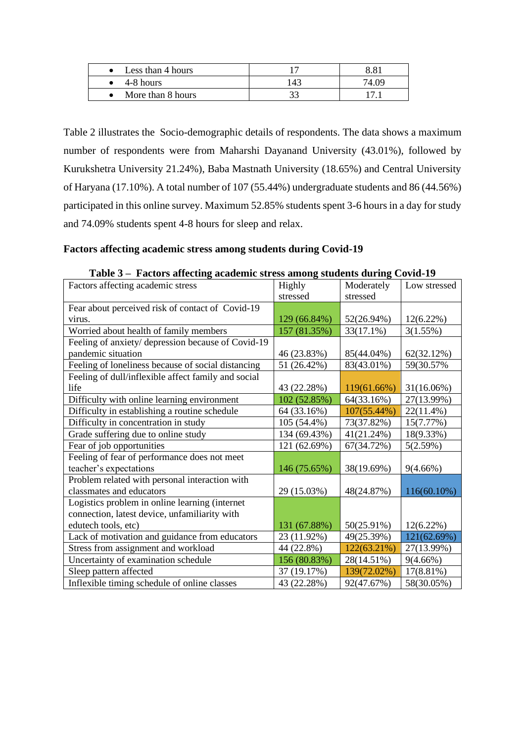| Less than 4 hours |    | 8 R I |
|-------------------|----|-------|
| 4-8 hours         | 43 | 4 O.Q |
| More than 8 hours |    |       |

Table 2 illustrates the Socio-demographic details of respondents. The data shows a maximum number of respondents were from Maharshi Dayanand University (43.01%), followed by Kurukshetra University 21.24%), Baba Mastnath University (18.65%) and Central University of Haryana (17.10%). A total number of 107 (55.44%) undergraduate students and 86 (44.56%) participated in this online survey. Maximum 52.85% students spent 3-6 hours in a day for study and 74.09% students spent 4-8 hours for sleep and relax.

#### **Factors affecting academic stress among students during Covid-19**

| Tactors anceing academic su css among students during Covid 12<br>Factors affecting academic stress | Highly       | Moderately  | Low stressed  |
|-----------------------------------------------------------------------------------------------------|--------------|-------------|---------------|
|                                                                                                     | stressed     | stressed    |               |
|                                                                                                     |              |             |               |
| Fear about perceived risk of contact of Covid-19                                                    |              |             |               |
| virus.                                                                                              | 129 (66.84%) | 52(26.94%)  | $12(6.22\%)$  |
| Worried about health of family members                                                              | 157 (81.35%) | 33(17.1%)   | 3(1.55%)      |
| Feeling of anxiety/ depression because of Covid-19                                                  |              |             |               |
| pandemic situation                                                                                  | 46 (23.83%)  | 85(44.04%)  | 62(32.12%)    |
| Feeling of loneliness because of social distancing                                                  | 51 (26.42%)  | 83(43.01%)  | 59(30.57%)    |
| Feeling of dull/inflexible affect family and social                                                 |              |             |               |
| life                                                                                                | 43 (22.28%)  | 119(61.66%) | $31(16.06\%)$ |
| Difficulty with online learning environment                                                         | 102 (52.85%) | 64(33.16%)  | 27(13.99%)    |
| Difficulty in establishing a routine schedule                                                       | 64 (33.16%)  | 107(55.44%) | $22(11.4\%)$  |
| Difficulty in concentration in study                                                                | 105 (54.4%)  | 73(37.82%)  | 15(7.77%)     |
| Grade suffering due to online study                                                                 | 134 (69.43%) | 41(21.24%)  | 18(9.33%)     |
| Fear of job opportunities                                                                           | 121 (62.69%) | 67(34.72%)  | 5(2.59%)      |
| Feeling of fear of performance does not meet                                                        |              |             |               |
| teacher's expectations                                                                              | 146 (75.65%) | 38(19.69%)  | 9(4.66%)      |
| Problem related with personal interaction with                                                      |              |             |               |
| classmates and educators                                                                            | 29 (15.03%)  | 48(24.87%)  | 116(60.10%)   |
| Logistics problem in online learning (internet                                                      |              |             |               |
| connection, latest device, unfamiliarity with                                                       |              |             |               |
| edutech tools, etc)                                                                                 | 131 (67.88%) | 50(25.91%)  | $12(6.22\%)$  |
| Lack of motivation and guidance from educators                                                      | 23 (11.92%)  | 49(25.39%)  | 121(62.69%)   |
| Stress from assignment and workload                                                                 | 44 (22.8%)   | 122(63.21%) | 27(13.99%)    |
| Uncertainty of examination schedule                                                                 | 156 (80.83%) | 28(14.51%)  | 9(4.66%)      |
| Sleep pattern affected                                                                              | 37 (19.17%)  | 139(72.02%) | 17(8.81%)     |
| Inflexible timing schedule of online classes                                                        | 43 (22.28%)  | 92(47.67%)  | 58(30.05%)    |

**Table 3 – Factors affecting academic stress among students during Covid-19**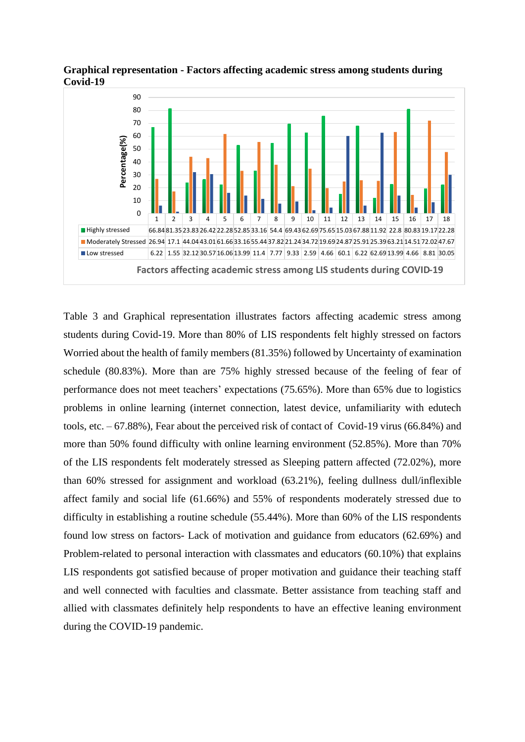

**Graphical representation - Factors affecting academic stress among students during Covid-19**

Table 3 and Graphical representation illustrates factors affecting academic stress among students during Covid-19. More than 80% of LIS respondents felt highly stressed on factors Worried about the health of family members (81.35%) followed by Uncertainty of examination schedule (80.83%). More than are 75% highly stressed because of the feeling of fear of performance does not meet teachers' expectations (75.65%). More than 65% due to logistics problems in online learning (internet connection, latest device, unfamiliarity with edutech tools, etc. – 67.88%), Fear about the perceived risk of contact of Covid-19 virus (66.84%) and more than 50% found difficulty with online learning environment (52.85%). More than 70% of the LIS respondents felt moderately stressed as Sleeping pattern affected (72.02%), more than 60% stressed for assignment and workload (63.21%), feeling dullness dull/inflexible affect family and social life (61.66%) and 55% of respondents moderately stressed due to difficulty in establishing a routine schedule (55.44%). More than 60% of the LIS respondents found low stress on factors- Lack of motivation and guidance from educators (62.69%) and Problem-related to personal interaction with classmates and educators (60.10%) that explains LIS respondents got satisfied because of proper motivation and guidance their teaching staff and well connected with faculties and classmate. Better assistance from teaching staff and allied with classmates definitely help respondents to have an effective leaning environment during the COVID-19 pandemic.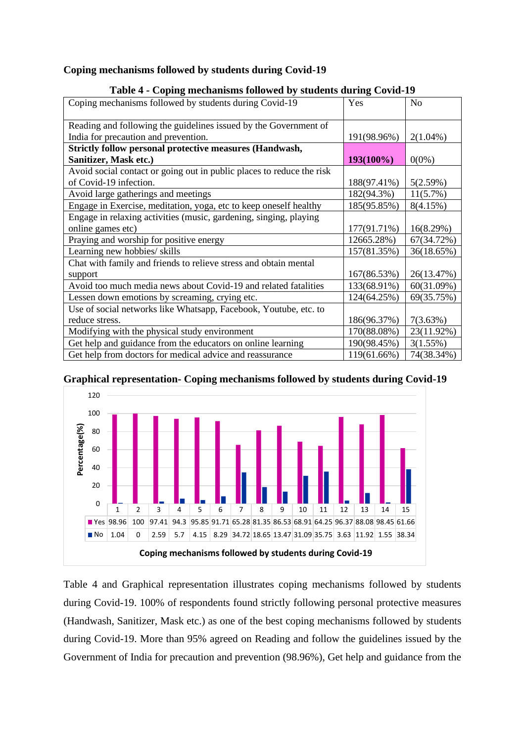#### **Coping mechanisms followed by students during Covid-19**

| $1400 \div 7$ coping incentification followed by statemes during covide 12 |             |                |  |  |
|----------------------------------------------------------------------------|-------------|----------------|--|--|
| Coping mechanisms followed by students during Covid-19                     | Yes         | N <sub>0</sub> |  |  |
| Reading and following the guidelines issued by the Government of           |             |                |  |  |
| India for precaution and prevention.                                       | 191(98.96%) | $2(1.04\%)$    |  |  |
| <b>Strictly follow personal protective measures (Handwash,</b>             |             |                |  |  |
| Sanitizer, Mask etc.)                                                      | 193(100%)   | $0(0\%)$       |  |  |
| Avoid social contact or going out in public places to reduce the risk      |             |                |  |  |
| of Covid-19 infection.                                                     | 188(97.41%) | 5(2.59%)       |  |  |
| Avoid large gatherings and meetings                                        | 182(94.3%)  | $11(5.7\%)$    |  |  |
| Engage in Exercise, meditation, yoga, etc to keep oneself healthy          | 185(95.85%) | 8(4.15%)       |  |  |
| Engage in relaxing activities (music, gardening, singing, playing          |             |                |  |  |
| online games etc)                                                          | 177(91.71%) | 16(8.29%)      |  |  |
| Praying and worship for positive energy                                    | 12665.28%)  | 67(34.72%)     |  |  |
| Learning new hobbies/ skills                                               | 157(81.35%) | 36(18.65%)     |  |  |
| Chat with family and friends to relieve stress and obtain mental           |             |                |  |  |
| support                                                                    | 167(86.53%) | 26(13.47%)     |  |  |
| Avoid too much media news about Covid-19 and related fatalities            | 133(68.91%) | 60(31.09%)     |  |  |
| Lessen down emotions by screaming, crying etc.                             | 124(64.25%) | 69(35.75%)     |  |  |
| Use of social networks like Whatsapp, Facebook, Youtube, etc. to           |             |                |  |  |
| reduce stress.                                                             | 186(96.37%) | 7(3.63%)       |  |  |
| Modifying with the physical study environment                              | 170(88.08%) | 23(11.92%)     |  |  |
| Get help and guidance from the educators on online learning                | 190(98.45%) | 3(1.55%)       |  |  |
| Get help from doctors for medical advice and reassurance                   | 119(61.66%) | 74(38.34%)     |  |  |

#### **Table 4** *-* **Coping mechanisms followed by students during Covid-19**

#### **Graphical representation- Coping mechanisms followed by students during Covid-19**



Table 4 and Graphical representation illustrates coping mechanisms followed by students during Covid-19. 100% of respondents found strictly following personal protective measures (Handwash, Sanitizer, Mask etc.) as one of the best coping mechanisms followed by students during Covid-19. More than 95% agreed on Reading and follow the guidelines issued by the Government of India for precaution and prevention (98.96%), Get help and guidance from the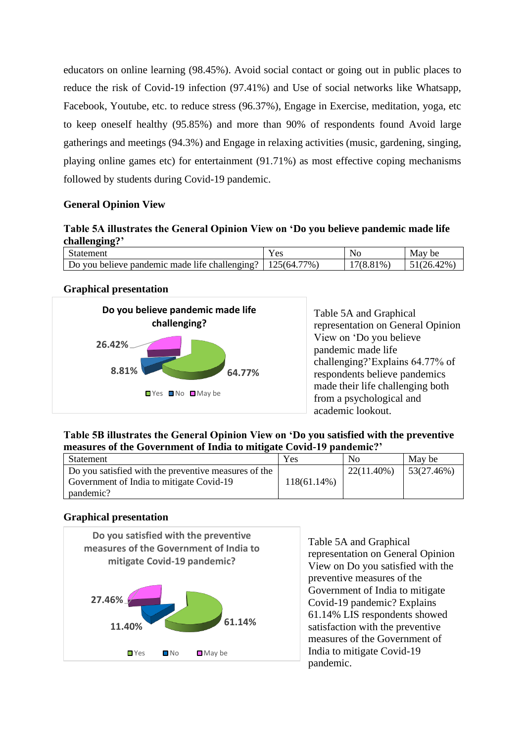educators on online learning (98.45%). Avoid social contact or going out in public places to reduce the risk of Covid-19 infection (97.41%) and Use of social networks like Whatsapp, Facebook, Youtube, etc. to reduce stress (96.37%), Engage in Exercise, meditation, yoga, etc to keep oneself healthy (95.85%) and more than 90% of respondents found Avoid large gatherings and meetings (94.3%) and Engage in relaxing activities (music, gardening, singing, playing online games etc) for entertainment (91.71%) as most effective coping mechanisms followed by students during Covid-19 pandemic.

#### **General Opinion View**

## **Table 5A illustrates the General Opinion View on 'Do you believe pandemic made life challenging?'**

| statement                                     | ' es                    | NO                    | be       |
|-----------------------------------------------|-------------------------|-----------------------|----------|
| Do you believe pandemic made life challenging | $77\%$ ,<br>:64<br>∍ ור | $^{\prime}$ %.<br>778 | $12\%$ . |

## **Graphical presentation**



Table 5A and Graphical representation on General Opinion View on 'Do you believe pandemic made life challenging?'Explains 64.77% of respondents believe pandemics made their life challenging both from a psychological and academic lookout.

## **Table 5B illustrates the General Opinion View on 'Do you satisfied with the preventive measures of the Government of India to mitigate Covid-19 pandemic?'**

| Statement                                            | Yes            | No            | May be      |
|------------------------------------------------------|----------------|---------------|-------------|
| Do you satisfied with the preventive measures of the |                | $22(11.40\%)$ | 153(27.46%) |
| Government of India to mitigate Covid-19             | $118(61.14\%)$ |               |             |
| pandemic?                                            |                |               |             |

## **Graphical presentation**



Table 5A and Graphical representation on General Opinion View on Do you satisfied with the preventive measures of the Government of India to mitigate Covid-19 pandemic? Explains 61.14% LIS respondents showed satisfaction with the preventive measures of the Government of India to mitigate Covid-19 pandemic.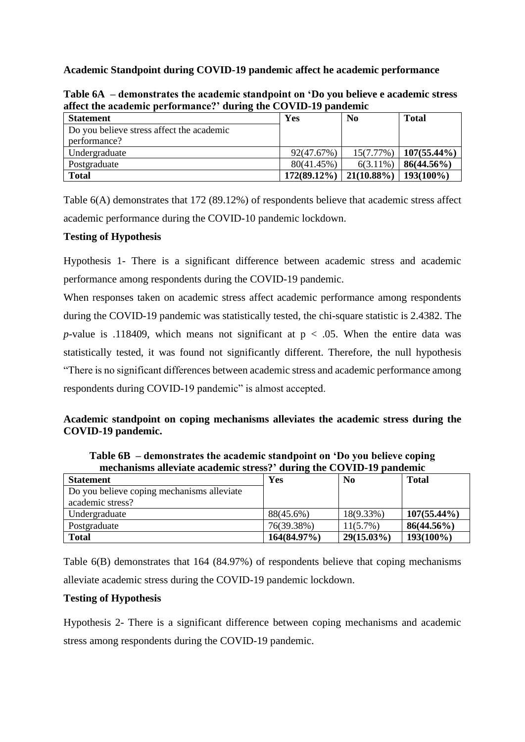**Academic Standpoint during COVID-19 pandemic affect he academic performance**

| affect the academic performance? during the COVID-19 pandemic |                |                |                |  |
|---------------------------------------------------------------|----------------|----------------|----------------|--|
| <b>Statement</b>                                              | Yes            | N <sub>0</sub> | <b>Total</b>   |  |
| Do you believe stress affect the academic                     |                |                |                |  |
| performance?                                                  |                |                |                |  |
| Undergraduate                                                 | 92(47.67%)     | 15(7.77%)      | $107(55.44\%)$ |  |
| Postgraduate                                                  | 80(41.45%)     | $6(3.11\%)$    | $86(44.56\%)$  |  |
| <b>Total</b>                                                  | $172(89.12\%)$ | $21(10.88\%)$  | $193(100\%)$   |  |

**Table 6A – demonstrates the academic standpoint on 'Do you believe e academic stress affect the academic performance?' during the COVID-19 pandemic** 

Table 6(A) demonstrates that 172 (89.12%) of respondents believe that academic stress affect academic performance during the COVID-10 pandemic lockdown.

## **Testing of Hypothesis**

Hypothesis 1- There is a significant difference between academic stress and academic performance among respondents during the COVID-19 pandemic.

When responses taken on academic stress affect academic performance among respondents during the COVID-19 pandemic was statistically tested, the chi-square statistic is 2.4382. The *p*-value is .118409, which means not significant at  $p < .05$ . When the entire data was statistically tested, it was found not significantly different. Therefore, the null hypothesis "There is no significant differences between academic stress and academic performance among respondents during COVID-19 pandemic" is almost accepted.

## **Academic standpoint on coping mechanisms alleviates the academic stress during the COVID-19 pandemic.**

**Table 6B – demonstrates the academic standpoint on 'Do you believe coping mechanisms alleviate academic stress?' during the COVID-19 pandemic**

| <b>Statement</b>                           | Yes         | N <sub>0</sub> | <b>Total</b>   |
|--------------------------------------------|-------------|----------------|----------------|
| Do you believe coping mechanisms alleviate |             |                |                |
| academic stress?                           |             |                |                |
| Undergraduate                              | 88(45.6%)   | 18(9.33%)      | $107(55.44\%)$ |
| Postgraduate                               | 76(39.38%)  | $11(5.7\%)$    | $86(44.56\%)$  |
| <b>Total</b>                               | 164(84.97%) | $29(15.03\%)$  | $193(100\%)$   |

Table 6(B) demonstrates that 164 (84.97%) of respondents believe that coping mechanisms alleviate academic stress during the COVID-19 pandemic lockdown.

## **Testing of Hypothesis**

Hypothesis 2- There is a significant difference between coping mechanisms and academic stress among respondents during the COVID-19 pandemic.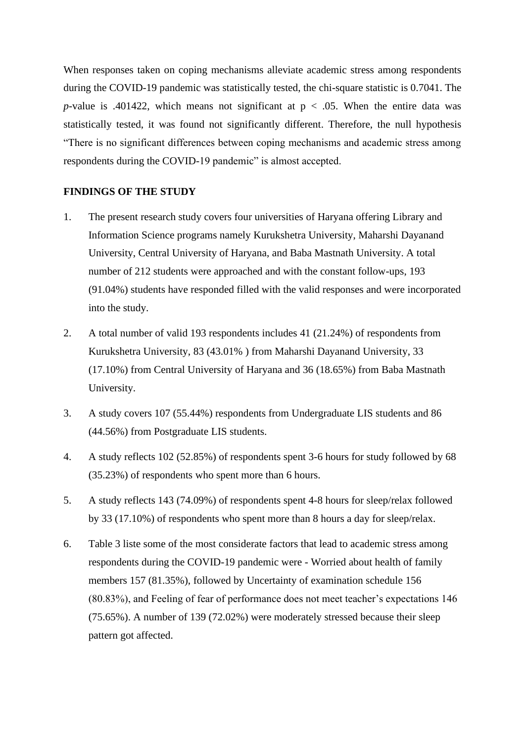When responses taken on coping mechanisms alleviate academic stress among respondents during the COVID-19 pandemic was statistically tested, the chi-square statistic is 0.7041. The *p*-value is .401422, which means not significant at  $p < .05$ . When the entire data was statistically tested, it was found not significantly different. Therefore, the null hypothesis "There is no significant differences between coping mechanisms and academic stress among respondents during the COVID-19 pandemic" is almost accepted.

#### **FINDINGS OF THE STUDY**

- 1. The present research study covers four universities of Haryana offering Library and Information Science programs namely Kurukshetra University, Maharshi Dayanand University, Central University of Haryana, and Baba Mastnath University. A total number of 212 students were approached and with the constant follow-ups, 193 (91.04%) students have responded filled with the valid responses and were incorporated into the study.
- 2. A total number of valid 193 respondents includes 41 (21.24%) of respondents from Kurukshetra University, 83 (43.01% ) from Maharshi Dayanand University, 33 (17.10%) from Central University of Haryana and 36 (18.65%) from Baba Mastnath University.
- 3. A study covers 107 (55.44%) respondents from Undergraduate LIS students and 86 (44.56%) from Postgraduate LIS students.
- 4. A study reflects 102 (52.85%) of respondents spent 3-6 hours for study followed by 68 (35.23%) of respondents who spent more than 6 hours.
- 5. A study reflects 143 (74.09%) of respondents spent 4-8 hours for sleep/relax followed by 33 (17.10%) of respondents who spent more than 8 hours a day for sleep/relax.
- 6. Table 3 liste some of the most considerate factors that lead to academic stress among respondents during the COVID-19 pandemic were - Worried about health of family members 157 (81.35%), followed by Uncertainty of examination schedule 156 (80.83%), and Feeling of fear of performance does not meet teacher's expectations 146 (75.65%). A number of 139 (72.02%) were moderately stressed because their sleep pattern got affected.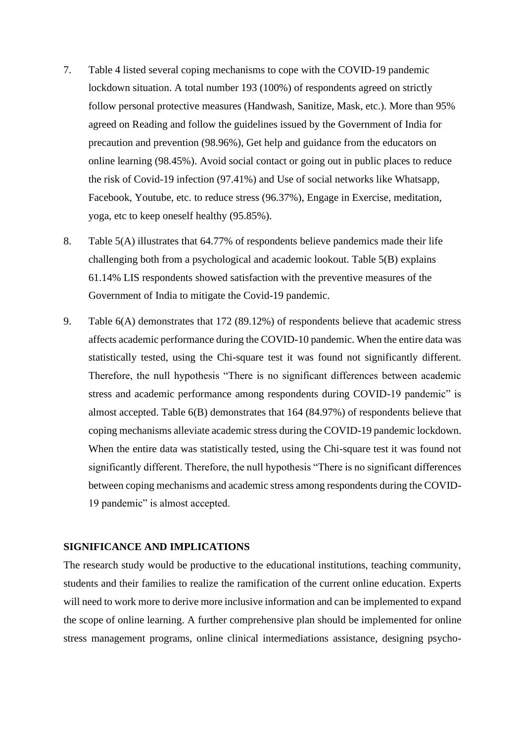- 7. Table 4 listed several coping mechanisms to cope with the COVID-19 pandemic lockdown situation. A total number 193 (100%) of respondents agreed on strictly follow personal protective measures (Handwash, Sanitize, Mask, etc.). More than 95% agreed on Reading and follow the guidelines issued by the Government of India for precaution and prevention (98.96%), Get help and guidance from the educators on online learning (98.45%). Avoid social contact or going out in public places to reduce the risk of Covid-19 infection (97.41%) and Use of social networks like Whatsapp, Facebook, Youtube, etc. to reduce stress (96.37%), Engage in Exercise, meditation, yoga, etc to keep oneself healthy (95.85%).
- 8. Table 5(A) illustrates that 64.77% of respondents believe pandemics made their life challenging both from a psychological and academic lookout. Table 5(B) explains 61.14% LIS respondents showed satisfaction with the preventive measures of the Government of India to mitigate the Covid-19 pandemic.
- 9. Table 6(A) demonstrates that 172 (89.12%) of respondents believe that academic stress affects academic performance during the COVID-10 pandemic. When the entire data was statistically tested, using the Chi-square test it was found not significantly different. Therefore, the null hypothesis "There is no significant differences between academic stress and academic performance among respondents during COVID-19 pandemic" is almost accepted. Table 6(B) demonstrates that 164 (84.97%) of respondents believe that coping mechanisms alleviate academic stress during the COVID-19 pandemic lockdown. When the entire data was statistically tested, using the Chi-square test it was found not significantly different. Therefore, the null hypothesis "There is no significant differences between coping mechanisms and academic stress among respondents during the COVID-19 pandemic" is almost accepted.

#### **SIGNIFICANCE AND IMPLICATIONS**

The research study would be productive to the educational institutions, teaching community, students and their families to realize the ramification of the current online education. Experts will need to work more to derive more inclusive information and can be implemented to expand the scope of online learning. A further comprehensive plan should be implemented for online stress management programs, online clinical intermediations assistance, designing psycho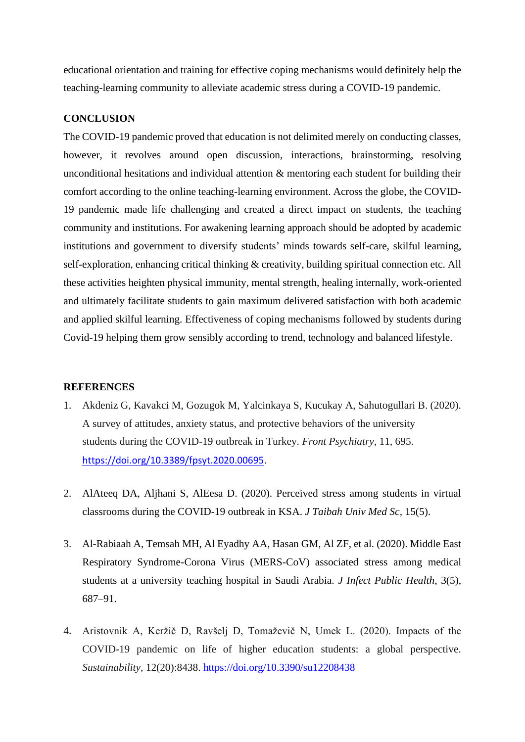educational orientation and training for effective coping mechanisms would definitely help the teaching-learning community to alleviate academic stress during a COVID-19 pandemic.

#### **CONCLUSION**

The COVID-19 pandemic proved that education is not delimited merely on conducting classes, however, it revolves around open discussion, interactions, brainstorming, resolving unconditional hesitations and individual attention & mentoring each student for building their comfort according to the online teaching-learning environment. Across the globe, the COVID-19 pandemic made life challenging and created a direct impact on students, the teaching community and institutions. For awakening learning approach should be adopted by academic institutions and government to diversify students' minds towards self-care, skilful learning, self-exploration, enhancing critical thinking & creativity, building spiritual connection etc. All these activities heighten physical immunity, mental strength, healing internally, work-oriented and ultimately facilitate students to gain maximum delivered satisfaction with both academic and applied skilful learning. Effectiveness of coping mechanisms followed by students during Covid-19 helping them grow sensibly according to trend, technology and balanced lifestyle.

#### **REFERENCES**

- 1. Akdeniz G, Kavakci M, Gozugok M, Yalcinkaya S, Kucukay A, Sahutogullari B. (2020). A survey of attitudes, anxiety status, and protective behaviors of the university students during the COVID-19 outbreak in Turkey. *Front Psychiatry*, 11, 695. <https://doi.org/10.3389/fpsyt.2020.00695>.
- 2. AlAteeq DA, Aljhani S, AlEesa D. (2020). Perceived stress among students in virtual classrooms during the COVID-19 outbreak in KSA. *J Taibah Univ Med Sc,* 15(5).
- 3. Al-Rabiaah A, Temsah MH, Al Eyadhy AA, Hasan GM, Al ZF, et al. (2020). Middle East Respiratory Syndrome-Corona Virus (MERS-CoV) associated stress among medical students at a university teaching hospital in Saudi Arabia. *J Infect Public Health*, 3(5), 687–91.
- 4. Aristovnik A, Keržič D, Ravšelj D, Tomaževič N, Umek L. (2020). Impacts of the COVID-19 pandemic on life of higher education students: a global perspective. *Sustainability*, 12(20):8438. https://doi.org/10.3390/su12208438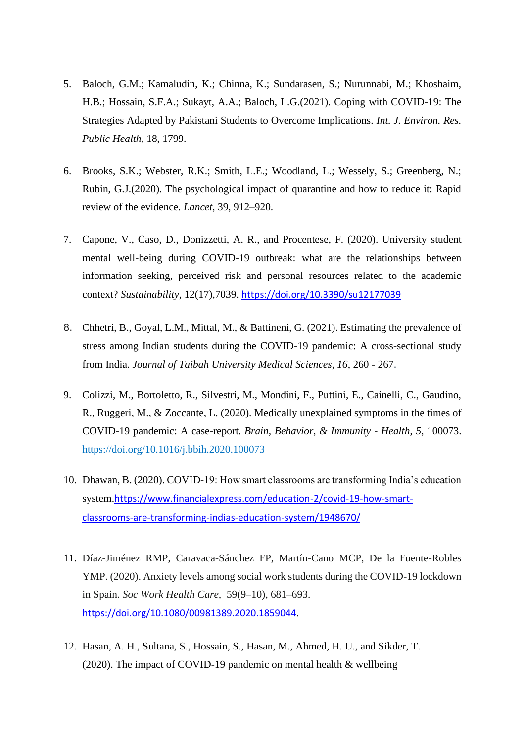- 5. Baloch, G.M.; Kamaludin, K.; Chinna, K.; Sundarasen, S.; Nurunnabi, M.; Khoshaim, H.B.; Hossain, S.F.A.; Sukayt, A.A.; Baloch, L.G.(2021). Coping with COVID-19: The Strategies Adapted by Pakistani Students to Overcome Implications. *Int. J. Environ. Res. Public Health,* 18, 1799.
- 6. Brooks, S.K.; Webster, R.K.; Smith, L.E.; Woodland, L.; Wessely, S.; Greenberg, N.; Rubin, G.J.(2020). The psychological impact of quarantine and how to reduce it: Rapid review of the evidence. *Lancet,* 39, 912–920.
- 7. Capone, V., Caso, D., Donizzetti, A. R., and Procentese, F. (2020). University student mental well-being during COVID-19 outbreak: what are the relationships between information seeking, perceived risk and personal resources related to the academic context? *Sustainability*, 12(17),7039. <https://doi.org/10.3390/su12177039>
- 8. Chhetri, B., Goyal, L.M., Mittal, M., & Battineni, G. (2021). Estimating the prevalence of stress among Indian students during the COVID-19 pandemic: A cross-sectional study from India. *Journal of Taibah University Medical Sciences, 16*, 260 - 267.
- 9. Colizzi, M., Bortoletto, R., Silvestri, M., Mondini, F., Puttini, E., Cainelli, C., Gaudino, R., Ruggeri, M., & Zoccante, L. (2020). Medically unexplained symptoms in the times of COVID-19 pandemic: A case-report. *Brain, Behavior, & Immunity - Health*, *5*, 100073. https://doi.org/10.1016/j.bbih.2020.100073
- 10. Dhawan, B. (2020). COVID-19: How smart classrooms are transforming India's education system.[https://www.financialexpress.com/education-2/covid-19-how-smart](https://www.financialexpress.com/education-2/covid-19-how-smart-classrooms-are-transforming-indias-education-system/1948670/)[classrooms-are-transforming-indias-education-system/1948670/](https://www.financialexpress.com/education-2/covid-19-how-smart-classrooms-are-transforming-indias-education-system/1948670/)
- 11. Díaz-Jiménez RMP, Caravaca-Sánchez FP, Martín-Cano MCP, De la Fuente-Robles YMP. (2020). Anxiety levels among social work students during the COVID-19 lockdown in Spain. *Soc Work Health Care,* 59(9–10), 681–693. <https://doi.org/10.1080/00981389.2020.1859044>.
- 12. Hasan, A. H., Sultana, S., Hossain, S., Hasan, M., Ahmed, H. U., and Sikder, T. (2020). The impact of COVID-19 pandemic on mental health & wellbeing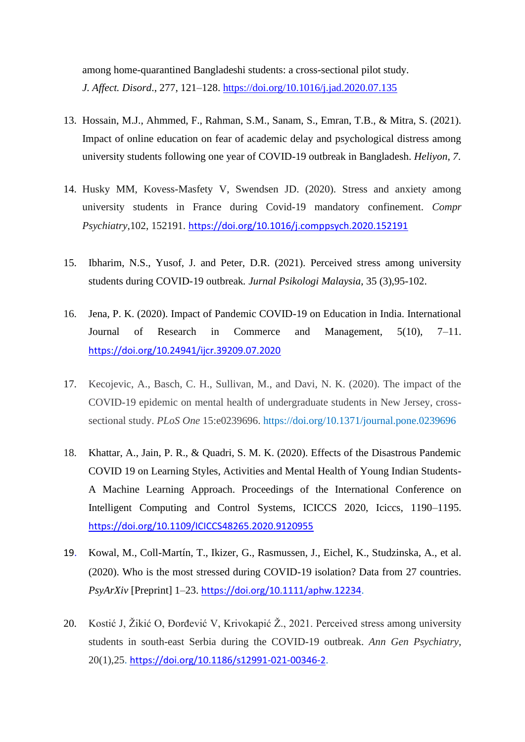among home-quarantined Bangladeshi students: a cross-sectional pilot study. *J. Affect. Disord*., 277, 121–128.<https://doi.org/10.1016/j.jad.2020.07.135>

- 13. Hossain, M.J., Ahmmed, F., Rahman, S.M., Sanam, S., Emran, T.B., & Mitra, S. (2021). Impact of online education on fear of academic delay and psychological distress among university students following one year of COVID-19 outbreak in Bangladesh. *Heliyon, 7*.
- 14. Husky MM, Kovess-Masfety V, Swendsen JD. (2020). Stress and anxiety among university students in France during Covid-19 mandatory confinement. *Compr Psychiatry*,102, 152191. <https://doi.org/10.1016/j.comppsych.2020.152191>
- 15. Ibharim, N.S., Yusof, J. and Peter, D.R. (2021). Perceived stress among university students during COVID-19 outbreak*. Jurnal Psikologi Malaysia*, 35 (3),95-102.
- 16. Jena, P. K. (2020). Impact of Pandemic COVID-19 on Education in India. International Journal of Research in Commerce and Management, 5(10), 7–11. <https://doi.org/10.24941/ijcr.39209.07.2020>
- 17. Kecojevic, A., Basch, C. H., Sullivan, M., and Davi, N. K. (2020). The impact of the COVID-19 epidemic on mental health of undergraduate students in New Jersey, crosssectional study. *PLoS One* 15:e0239696. https://doi.org/10.1371/journal.pone.0239696
- 18. Khattar, A., Jain, P. R., & Quadri, S. M. K. (2020). Effects of the Disastrous Pandemic COVID 19 on Learning Styles, Activities and Mental Health of Young Indian Students-A Machine Learning Approach. Proceedings of the International Conference on Intelligent Computing and Control Systems, ICICCS 2020, Iciccs, 1190–1195. <https://doi.org/10.1109/ICICCS48265.2020.9120955>
- 19. Kowal, M., Coll-Martín, T., Ikizer, G., Rasmussen, J., Eichel, K., Studzinska, A., et al. (2020). Who is the most stressed during COVID-19 isolation? Data from 27 countries. *PsyArXiv* [Preprint] 1–23. <https://doi.org/10.1111/aphw.12234>.
- 20. Kostić J, Žikić O, Đorđević V, Krivokapić Ž., 2021. Perceived stress among university students in south-east Serbia during the COVID-19 outbreak. *Ann Gen Psychiatry*, 20(1),25. <https://doi.org/10.1186/s12991-021-00346-2>.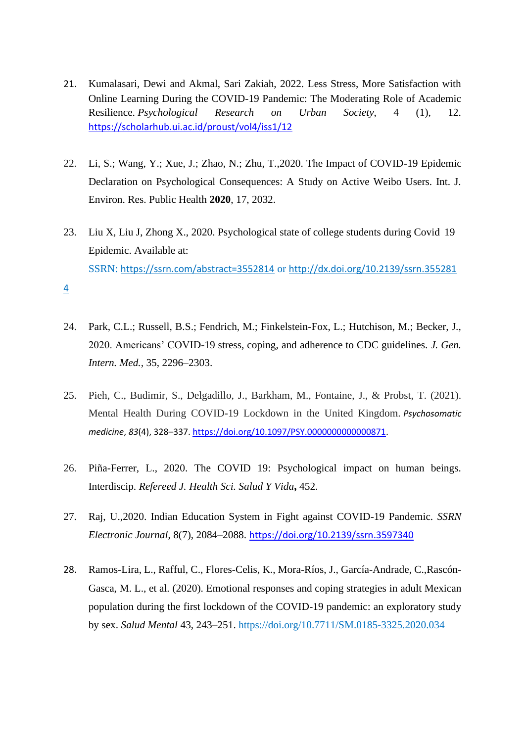- 21. Kumalasari, Dewi and Akmal, Sari Zakiah, 2022. Less Stress, More Satisfaction with Online Learning During the COVID-19 Pandemic: The Moderating Role of Academic Resilience. *Psychological Research on Urban Society*, 4 (1), 12. <https://scholarhub.ui.ac.id/proust/vol4/iss1/12>
- 22. Li, S.; Wang, Y.; Xue, J.; Zhao, N.; Zhu, T.,2020. The Impact of COVID-19 Epidemic Declaration on Psychological Consequences: A Study on Active Weibo Users. Int. J. Environ. Res. Public Health **2020**, 17, 2032.
- 23. Liu X, Liu J, Zhong X., 2020. Psychological state of college students during Covid 19 Epidemic. Available at: SSRN: <https://ssrn.com/abstract=3552814> or [http://dx.doi.org/10.2139/ssrn.355281](https://dx.doi.org/10.2139/ssrn.3552814)

[4](https://dx.doi.org/10.2139/ssrn.3552814)

- 24. Park, C.L.; Russell, B.S.; Fendrich, M.; Finkelstein-Fox, L.; Hutchison, M.; Becker, J., 2020. Americans' COVID-19 stress, coping, and adherence to CDC guidelines. *J. Gen. Intern. Med.,* 35, 2296–2303.
- 25. Pieh, C., Budimir, S., Delgadillo, J., Barkham, M., Fontaine, J., & Probst, T. (2021). Mental Health During COVID-19 Lockdown in the United Kingdom. *Psychosomatic medicine*, *83*(4), 328–337[. https://doi.org/10.1097/PSY.0000000000000871.](https://doi.org/10.1097/PSY.0000000000000871)
- 26. Piña-Ferrer, L., 2020. The COVID 19: Psychological impact on human beings. Interdiscip. *Refereed J. Health Sci. Salud Y Vida***,** 452.
- 27. Raj, U.,2020. Indian Education System in Fight against COVID-19 Pandemic. *SSRN Electronic Journal*, 8(7), 2084–2088. <https://doi.org/10.2139/ssrn.3597340>
- 28. Ramos-Lira, L., Rafful, C., Flores-Celis, K., Mora-Ríos, J., García-Andrade, C.,Rascón-Gasca, M. L., et al. (2020). Emotional responses and coping strategies in adult Mexican population during the first lockdown of the COVID-19 pandemic: an exploratory study by sex. *Salud Mental* 43, 243–251. https://doi.org/10.7711/SM.0185-3325.2020.034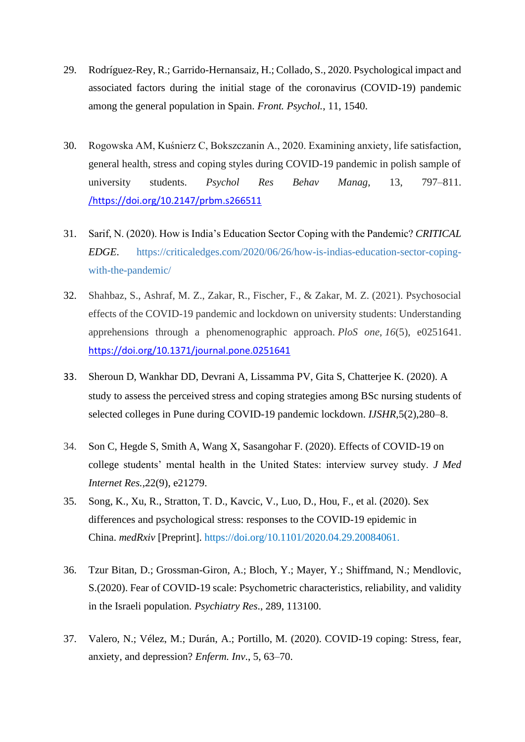- 29. Rodríguez-Rey, R.; Garrido-Hernansaiz, H.; Collado, S., 2020. Psychological impact and associated factors during the initial stage of the coronavirus (COVID-19) pandemic among the general population in Spain. *Front. Psychol.*, 11, 1540.
- 30. Rogowska AM, Kuśnierz C, Bokszczanin A., 2020. Examining anxiety, life satisfaction, general health, stress and coping styles during COVID-19 pandemic in polish sample of university students. *Psychol Res Behav Manag*, 13, 797–811. [/https://doi.org/10.2147/prbm.s266511](https://doi.org/https:/doi.org/10.2147/prbm.s266511)
- 31. Sarif, N. (2020). How is India's Education Sector Coping with the Pandemic? *CRITICAL EDGE*. https://criticaledges.com/2020/06/26/how-is-indias-education-sector-copingwith-the-pandemic/
- 32. Shahbaz, S., Ashraf, M. Z., Zakar, R., Fischer, F., & Zakar, M. Z. (2021). Psychosocial effects of the COVID-19 pandemic and lockdown on university students: Understanding apprehensions through a phenomenographic approach. *PloS one*, *16*(5), e0251641. <https://doi.org/10.1371/journal.pone.0251641>
- 33. Sheroun D, Wankhar DD, Devrani A, Lissamma PV, Gita S, Chatterjee K. (2020). A study to assess the perceived stress and coping strategies among BSc nursing students of selected colleges in Pune during COVID-19 pandemic lockdown. *IJSHR*,5(2),280–8.
- 34. Son C, Hegde S, Smith A, Wang X, Sasangohar F. (2020). Effects of COVID-19 on college students' mental health in the United States: interview survey study. *J Med Internet Res.,*22(9), e21279.
- 35. Song, K., Xu, R., Stratton, T. D., Kavcic, V., Luo, D., Hou, F., et al. (2020). Sex differences and psychological stress: responses to the COVID-19 epidemic in China. *medRxiv* [Preprint]. https://doi.org/10.1101/2020.04.29.20084061.
- 36. Tzur Bitan, D.; Grossman-Giron, A.; Bloch, Y.; Mayer, Y.; Shiffmand, N.; Mendlovic, S.(2020). Fear of COVID-19 scale: Psychometric characteristics, reliability, and validity in the Israeli population. *Psychiatry Res*., 289, 113100.
- 37. Valero, N.; Vélez, M.; Durán, A.; Portillo, M. (2020). COVID-19 coping: Stress, fear, anxiety, and depression? *Enferm. Inv*., 5, 63–70.